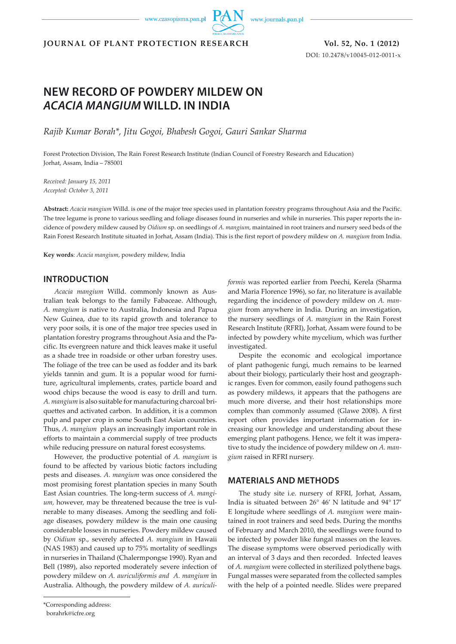www.czasopisma.pan.pl

www.journals.pan.pl

**JOURNAL OF PLANT PROTECTION RESEARCH Vol. 52, No. 1 (2012)**

DOI: 10.2478/v10045-012-0011-x

# **NEW RECORD OF POWDERY MILDEW ON**  *ACACIA MANGIUM* **WILLD. IN INDIA**

*Rajib Kumar Borah\*, Jitu Gogoi, Bhabesh Gogoi, Gauri Sankar Sharma*

Forest Protection Division, The Rain Forest Research Institute (Indian Council of Forestry Research and Education) Jorhat, Assam, India – 785001

*Received: January 15, 2011 Accepted: October 3, 2011*

**Abstract:** *Acacia mangium* Willd. is one of the major tree species used in plantation forestry programs throughout Asia and the Pacific. The tree legume is prone to various seedling and foliage diseases found in nurseries and while in nurseries. This paper reports the incidence of powdery mildew caused by *Oidium* sp*.* on seedlings of *A. mangium*, maintained in root trainers and nursery seed beds of the Rain Forest Research Institute situated in Jorhat, Assam (India). This is the first report of powdery mildew on *A. mangium* from India.

**Key words**: *Acacia mangium*, powdery mildew, India

#### **INTRODUCTION**

*Acacia mangium* Willd. commonly known as Australian teak belongs to the family Fabaceae. Although, *A. mangium* is native to Australia, Indonesia and Papua New Guinea, due to its rapid growth and tolerance to very poor soils, it is one of the major tree species used in plantation forestry programs throughout Asia and the Pacific. Its evergreen nature and thick leaves make it useful as a shade tree in roadside or other urban forestry uses. The foliage of the tree can be used as fodder and its bark yields tannin and gum. It is a popular wood for furniture, agricultural implements, crates, particle board and wood chips because the wood is easy to drill and turn. *A. mangium* is also suitable for manufacturing charcoal briquettes and activated carbon. In addition, it is a common pulp and paper crop in some South East Asian countries. Thus, *A. mangium* plays an increasingly important role in efforts to maintain a commercial supply of tree products while reducing pressure on natural forest ecosystems.

However, the productive potential of *A. mangium* is found to be affected by various biotic factors including pests and diseases. *A. mangium* was once considered the most promising forest plantation species in many South East Asian countries. The long-term success of *A. mangium,* however, may be threatened because the tree is vulnerable to many diseases. Among the seedling and foliage diseases, powdery mildew is the main one causing considerable losses in nurseries. Powdery mildew caused by *Oidium* sp., severely affected *A. mangium* in Hawaii (NAS 1983) and caused up to 75% mortality of seedlings in nurseries in Thailand (Chalermpongse 1990). Ryan and Bell (1989), also reported moderately severe infection of powdery mildew on *A. auriculiformis and A. mangium* in Australia. Although, the powdery mildew of *A. auriculi-* *formis* was reported earlier from Peechi, Kerela (Sharma and Maria Florence 1996), so far, no literature is available regarding the incidence of powdery mildew on *A. mangium* from anywhere in India. During an investigation, the nursery seedlings of *A. mangium* in the Rain Forest Research Institute (RFRI), Jorhat, Assam were found to be infected by powdery white mycelium, which was further investigated.

Despite the economic and ecological importance of plant pathogenic fungi, much remains to be learned about their biology, particularly their host and geographic ranges. Even for common, easily found pathogens such as powdery mildews, it appears that the pathogens are much more diverse, and their host relationships more complex than commonly assumed (Glawe 2008). A first report often provides important information for increasing our knowledge and understanding about these emerging plant pathogens. Hence, we felt it was imperative to study the incidence of powdery mildew on *A. mangium* raised in RFRI nursery.

### **MATERIALS AND METHODS**

The study site i.e. nursery of RFRI, Jorhat, Assam, India is situated between 26° 46' N latitude and 94° 17' E longitude where seedlings of *A. mangium* were maintained in root trainers and seed beds. During the months of February and March 2010, the seedlings were found to be infected by powder like fungal masses on the leaves. The disease symptoms were observed periodically with an interval of 3 days and then recorded. Infected leaves of *A. mangium* were collected in sterilized polythene bags. Fungal masses were separated from the collected samples with the help of a pointed needle. Slides were prepared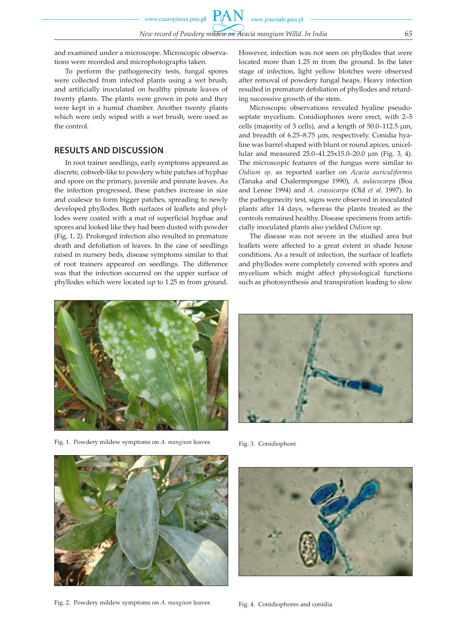and examined under a microscope. Microscopic observations were recorded and microphotographs taken.

To perform the pathogenecity tests, fungal spores were collected from infected plants using a wet brush, and artificially inoculated on healthy pinnate leaves of twenty plants. The plants were grown in pots and they were kept in a humid chamber. Another twenty plants which were only wiped with a wet brush, were used as the control.

## **RESULTS AND DISCUSSION**

In root trainer seedlings, early symptoms appeared as discrete, cobweb-like to powdery white patches of hyphae and spore on the primary, juvenile and pinnate leaves. As the infection progressed, these patches increase in size and coalesce to form bigger patches, spreading to newly developed phyllodes. Both surfaces of leaflets and phyllodes were coated with a mat of superficial hyphae and spores and looked like they had been dusted with powder (Fig. 1, 2). Prolonged infection also resulted in premature death and defoliation of leaves. In the case of seedlings raised in nursery beds, disease symptoms similar to that of root trainers appeared on seedlings. The difference was that the infection occurred on the upper surface of phyllodes which were located up to 1.25 m from ground.

However, infection was not seen on phyllodes that were located more than 1.25 m from the ground. In the later stage of infection, light yellow blotches were observed after removal of powdery fungal heaps. Heavy infection resulted in premature defoliation of phyllodes and retarding successive growth of the stem.

Microscopic observations revealed hyaline pseudoseptate mycelium. Conidiophores were erect, with 2–5 cells (majority of 3 cells), and a length of  $50.0-112.5 \mu m$ , and breadth of 6.25–8.75 µm, respectively. Conidia hyaline was barrel shaped with blunt or round apices, unicellular and measured 25.0–41.25x15.0–20.0 µm (Fig. 3, 4). The microscopic features of the fungus were similar to *Oidium sp*. as reported earlier on *Acacia auriculiformis*  (Tanaka and Chalermpongse 1990), *A. aulacocarpa* (Boa and Lenne 1994) and *A. crassicarpa* (Old *et al.* 1997). In the pathogenecity test, signs were observed in inoculated plants after 14 days, whereas the plants treated as the controls remained healthy. Disease specimens from artificially inoculated plants also yielded *Oidium* sp.

The disease was not severe in the studied area but leaflets were affected to a great extent in shade house conditions. As a result of infection, the surface of leaflets and phyllodes were completely covered with spores and mycelium which might affect physiological functions such as photosynthesis and transpiration leading to slow



Fig. 1. Powdery mildew symptoms on *A. mangium* leaves



Fig. 3. Conidiophore



Fig. 2. Powdery mildew symptoms on *A. mangium* leaves



Fig. 4. Conidiophores and conidia